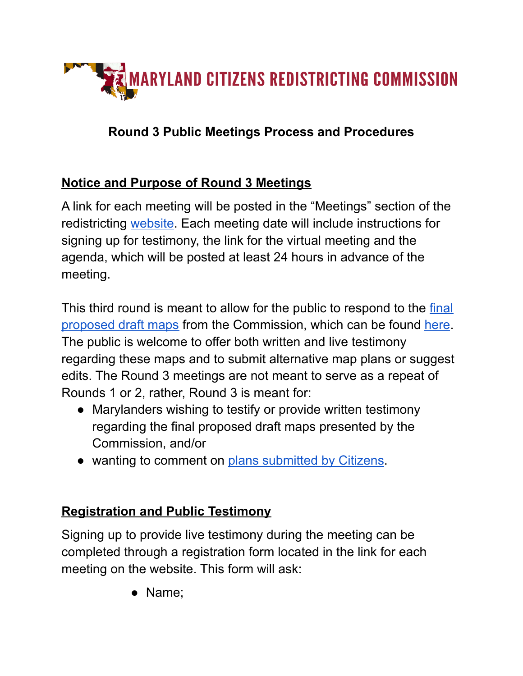

## **Round 3 Public Meetings Process and Procedures**

#### **Notice and Purpose of Round 3 Meetings**

A link for each meeting will be posted in the "Meetings" section of the redistricting [website.](http://redistricting.maryland.gov) Each meeting date will include instructions for signing up for testimony, the link for the virtual meeting and the agenda, which will be posted at least 24 hours in advance of the meeting.

This third round is meant to allow for the public to respond to the [final](https://redistricting.maryland.gov/Pages/final-proposed-draft.aspx) [proposed draft maps](https://redistricting.maryland.gov/Pages/final-proposed-draft.aspx) from the Commission, which can be found [here](https://redistricting.maryland.gov/Pages/final-proposed-draft.aspx). The public is welcome to offer both written and live testimony regarding these maps and to submit alternative map plans or suggest edits. The Round 3 meetings are not meant to serve as a repeat of Rounds 1 or 2, rather, Round 3 is meant for:

- Marylanders wishing to testify or provide written testimony regarding the final proposed draft maps presented by the Commission, and/or
- wanting to comment on [plans submitted by Citizens.](https://redistricting.maryland.gov/Pages/SUBMITLOG.aspx)

#### **Registration and Public Testimony**

Signing up to provide live testimony during the meeting can be completed through a registration form located in the link for each meeting on the website. This form will ask:

● Name;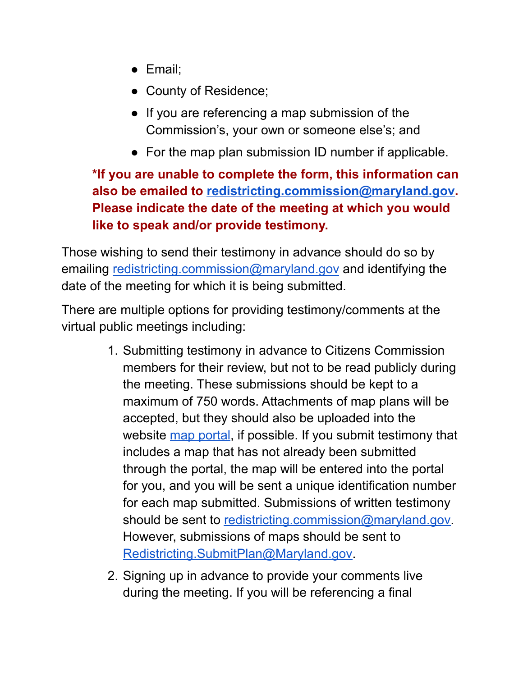- Email;
- County of Residence;
- If you are referencing a map submission of the Commission's, your own or someone else's; and
- For the map plan submission ID number if applicable.

## **\*If you are unable to complete the form, this information can also be emailed to [redistricting.commission@maryland.gov.](mailto:redistricting.commission@maryland.gov) Please indicate the date of the meeting at which you would like to speak and/or provide testimony.**

Those wishing to send their testimony in advance should do so by emailing [redistricting.commission@maryland.gov](mailto:redistricting.commission@maryland.gov) and identifying the date of the meeting for which it is being submitted.

There are multiple options for providing testimony/comments at the virtual public meetings including:

- 1. Submitting testimony in advance to Citizens Commission members for their review, but not to be read publicly during the meeting. These submissions should be kept to a maximum of 750 words. Attachments of map plans will be accepted, but they should also be uploaded into the website [map portal,](https://redistricting.maryland.gov/Pages/plan-proposals.aspx) if possible. If you submit testimony that includes a map that has not already been submitted through the portal, the map will be entered into the portal for you, and you will be sent a unique identification number for each map submitted. Submissions of written testimony should be sent to [redistricting.commission@maryland.gov.](mailto:redistricting.commission@maryland.gov) However, submissions of maps should be sent to [Redistricting.SubmitPlan@Maryland.gov.](mailto:Redistricting.SubmitPlan@Maryland.gov)
- 2. Signing up in advance to provide your comments live during the meeting. If you will be referencing a final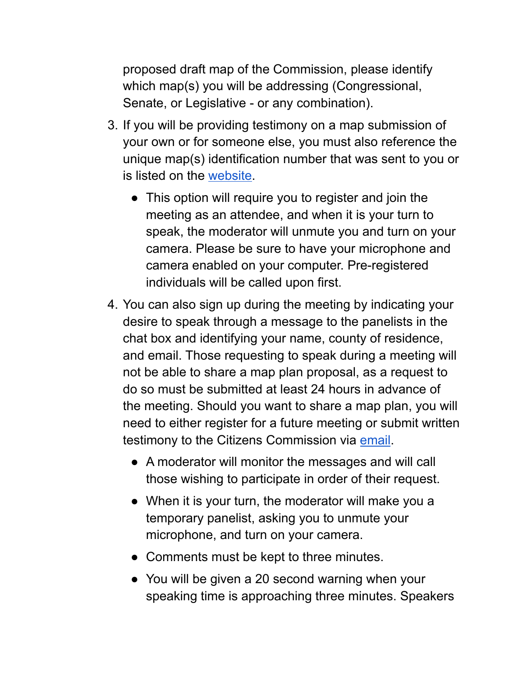proposed draft map of the Commission, please identify which map(s) you will be addressing (Congressional, Senate, or Legislative - or any combination).

- 3. If you will be providing testimony on a map submission of your own or for someone else, you must also reference the unique map(s) identification number that was sent to you or is listed on the [website.](https://redistricting.maryland.gov/Pages/SUBMITLOG.aspx)
	- This option will require you to register and join the meeting as an attendee, and when it is your turn to speak, the moderator will unmute you and turn on your camera. Please be sure to have your microphone and camera enabled on your computer. Pre-registered individuals will be called upon first.
- 4. You can also sign up during the meeting by indicating your desire to speak through a message to the panelists in the chat box and identifying your name, county of residence, and email. Those requesting to speak during a meeting will not be able to share a map plan proposal, as a request to do so must be submitted at least 24 hours in advance of the meeting. Should you want to share a map plan, you will need to either register for a future meeting or submit written testimony to the Citizens Commission via [email](mailto:redistricting.commission@maryland.gov).
	- A moderator will monitor the messages and will call those wishing to participate in order of their request.
	- When it is your turn, the moderator will make you a temporary panelist, asking you to unmute your microphone, and turn on your camera.
	- Comments must be kept to three minutes.
	- You will be given a 20 second warning when your speaking time is approaching three minutes. Speakers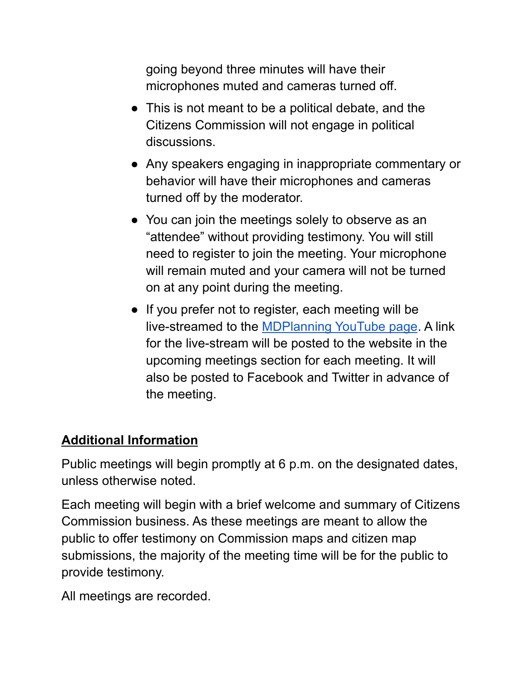going beyond three minutes will have their microphones muted and cameras turned off.

- This is not meant to be a political debate, and the Citizens Commission will not engage in political discussions.
- Any speakers engaging in inappropriate commentary or behavior will have their microphones and cameras turned off by the moderator.
- You can join the meetings solely to observe as an "attendee" without providing testimony. You will still need to register to join the meeting. Your microphone will remain muted and your camera will not be turned on at any point during the meeting.
- If you prefer not to register, each meeting will be live-streamed to the [MDPlanning YouTube page](https://www.youtube.com/channel/UCDxRYqWtXEkz6jHwE5LiPjw). A link for the live-stream will be posted to the website in the upcoming meetings section for each meeting. It will also be posted to Facebook and Twitter in advance of the meeting.

# **Additional Information**

Public meetings will begin promptly at 6 p.m. on the designated dates, unless otherwise noted.

Each meeting will begin with a brief welcome and summary of Citizens Commission business. As these meetings are meant to allow the public to offer testimony on Commission maps and citizen map submissions, the majority of the meeting time will be for the public to provide testimony.

All meetings are recorded.